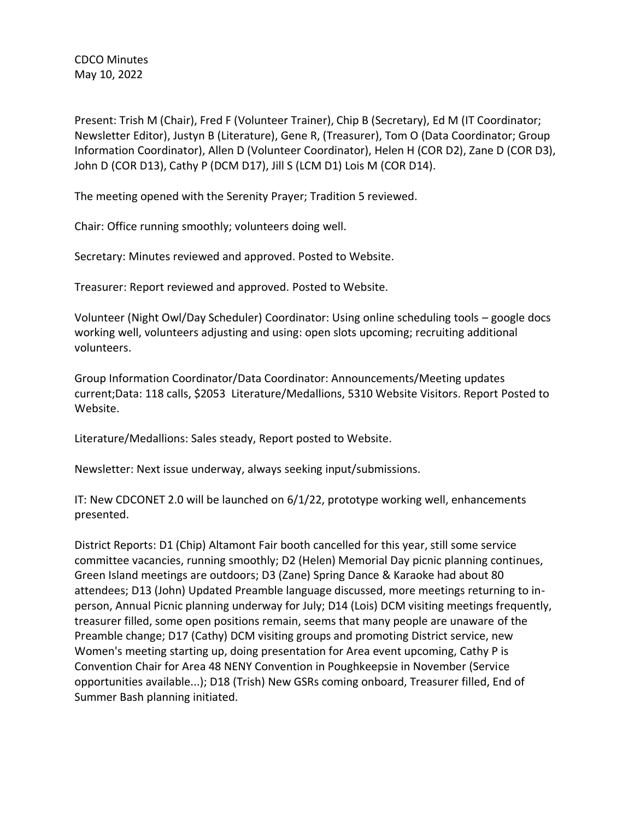CDCO Minutes May 10, 2022

Present: Trish M (Chair), Fred F (Volunteer Trainer), Chip B (Secretary), Ed M (IT Coordinator; Newsletter Editor), Justyn B (Literature), Gene R, (Treasurer), Tom O (Data Coordinator; Group Information Coordinator), Allen D (Volunteer Coordinator), Helen H (COR D2), Zane D (COR D3), John D (COR D13), Cathy P (DCM D17), Jill S (LCM D1) Lois M (COR D14).

The meeting opened with the Serenity Prayer; Tradition 5 reviewed.

Chair: Office running smoothly; volunteers doing well.

Secretary: Minutes reviewed and approved. Posted to Website.

Treasurer: Report reviewed and approved. Posted to Website.

Volunteer (Night Owl/Day Scheduler) Coordinator: Using online scheduling tools – google docs working well, volunteers adjusting and using: open slots upcoming; recruiting additional volunteers.

Group Information Coordinator/Data Coordinator: Announcements/Meeting updates current;Data: 118 calls, \$2053 Literature/Medallions, 5310 Website Visitors. Report Posted to Website.

Literature/Medallions: Sales steady, Report posted to Website.

Newsletter: Next issue underway, always seeking input/submissions.

IT: New CDCONET 2.0 will be launched on 6/1/22, prototype working well, enhancements presented.

District Reports: D1 (Chip) Altamont Fair booth cancelled for this year, still some service committee vacancies, running smoothly; D2 (Helen) Memorial Day picnic planning continues, Green Island meetings are outdoors; D3 (Zane) Spring Dance & Karaoke had about 80 attendees; D13 (John) Updated Preamble language discussed, more meetings returning to inperson, Annual Picnic planning underway for July; D14 (Lois) DCM visiting meetings frequently, treasurer filled, some open positions remain, seems that many people are unaware of the Preamble change; D17 (Cathy) DCM visiting groups and promoting District service, new Women's meeting starting up, doing presentation for Area event upcoming, Cathy P is Convention Chair for Area 48 NENY Convention in Poughkeepsie in November (Service opportunities available...); D18 (Trish) New GSRs coming onboard, Treasurer filled, End of Summer Bash planning initiated.